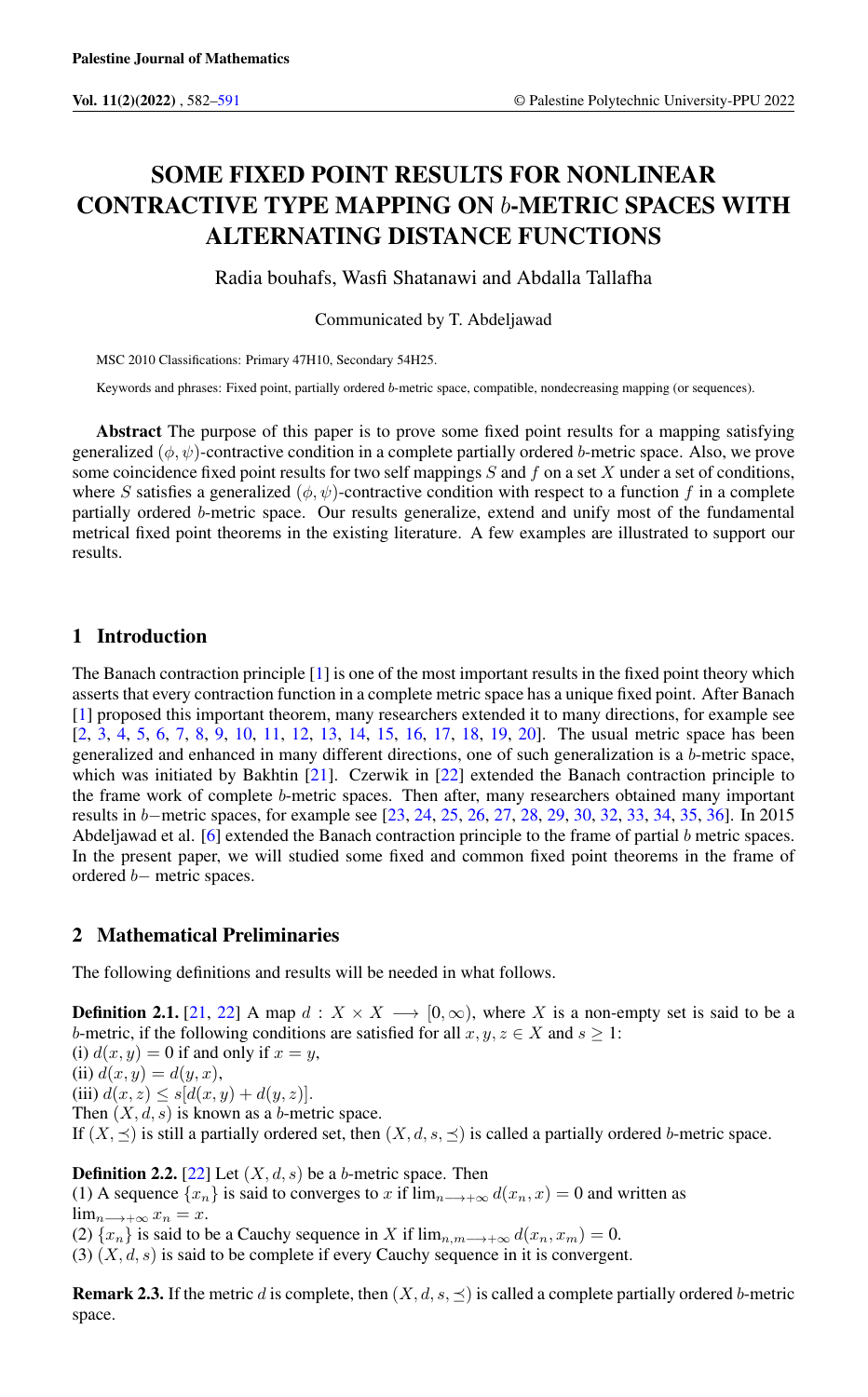# SOME FIXED POINT RESULTS FOR NONLINEAR CONTRACTIVE TYPE MAPPING ON b-METRIC SPACES WITH ALTERNATING DISTANCE FUNCTIONS

Radia bouhafs, Wasfi Shatanawi and Abdalla Tallafha

Communicated by T. Abdeljawad

MSC 2010 Classifications: Primary 47H10, Secondary 54H25.

Keywords and phrases: Fixed point, partially ordered b-metric space, compatible, nondecreasing mapping (or sequences).

Abstract The purpose of this paper is to prove some fixed point results for a mapping satisfying generalized  $(\phi, \psi)$ -contractive condition in a complete partially ordered b-metric space. Also, we prove some coincidence fixed point results for two self mappings  $S$  and  $f$  on a set  $X$  under a set of conditions, where S satisfies a generalized  $(\phi, \psi)$ -contractive condition with respect to a function f in a complete partially ordered b-metric space. Our results generalize, extend and unify most of the fundamental metrical fixed point theorems in the existing literature. A few examples are illustrated to support our results.

## 1 Introduction

The Banach contraction principle [\[1\]](#page-8-1) is one of the most important results in the fixed point theory which asserts that every contraction function in a complete metric space has a unique fixed point. After Banach [\[1\]](#page-8-1) proposed this important theorem, many researchers extended it to many directions, for example see [\[2,](#page-8-2) [3,](#page-8-3) [4,](#page-8-4) [5,](#page-8-5) [6,](#page-8-6) [7,](#page-8-7) [8,](#page-8-8) [9,](#page-8-9) [10,](#page-8-10) [11,](#page-8-11) [12,](#page-8-12) [13,](#page-8-13) [14,](#page-9-0) [15,](#page-9-1) [16,](#page-9-2) [17,](#page-9-3) [18,](#page-9-4) [19,](#page-9-5) [20\]](#page-9-6). The usual metric space has been generalized and enhanced in many different directions, one of such generalization is a b-metric space, which was initiated by Bakhtin [\[21\]](#page-9-7). Czerwik in [\[22\]](#page-9-8) extended the Banach contraction principle to the frame work of complete b-metric spaces. Then after, many researchers obtained many important results in b−metric spaces, for example see [\[23,](#page-9-9) [24,](#page-9-10) [25,](#page-9-11) [26,](#page-9-12) [27,](#page-9-13) [28,](#page-9-14) [29,](#page-9-15) [30,](#page-9-16) [32,](#page-9-17) [33,](#page-9-18) [34,](#page-9-19) [35,](#page-9-20) [36\]](#page-9-21). In 2015 Abdeljawad et al. [\[6\]](#page-8-6) extended the Banach contraction principle to the frame of partial b metric spaces. In the present paper, we will studied some fixed and common fixed point theorems in the frame of ordered b− metric spaces.

### 2 Mathematical Preliminaries

The following definitions and results will be needed in what follows.

**Definition 2.1.** [\[21,](#page-9-7) [22\]](#page-9-8) A map  $d: X \times X \longrightarrow [0, \infty)$ , where X is a non-empty set is said to be a b-metric, if the following conditions are satisfied for all  $x, y, z \in X$  and  $s \ge 1$ :

(i)  $d(x, y) = 0$  if and only if  $x = y$ ,

(ii)  $d(x, y) = d(y, x)$ ,

(iii)  $d(x, z) \leq s[d(x, y) + d(y, z)].$ 

Then  $(X, d, s)$  is known as a b-metric space.

If  $(X, \preceq)$  is still a partially ordered set, then  $(X, d, s, \preceq)$  is called a partially ordered b-metric space.

**Definition 2.2.** [\[22\]](#page-9-8) Let  $(X, d, s)$  be a b-metric space. Then

(1) A sequence  $\{x_n\}$  is said to converges to x if  $\lim_{n\to\infty} d(x_n, x) = 0$  and written as  $\lim_{n\to+\infty}x_n=x.$ 

(2)  $\{x_n\}$  is said to be a Cauchy sequence in X if  $\lim_{n,m\to\infty} d(x_n, x_m) = 0$ .

(3)  $(X, d, s)$  is said to be complete if every Cauchy sequence in it is convergent.

**Remark 2.3.** If the metric d is complete, then  $(X, d, s, \leq)$  is called a complete partially ordered b-metric space.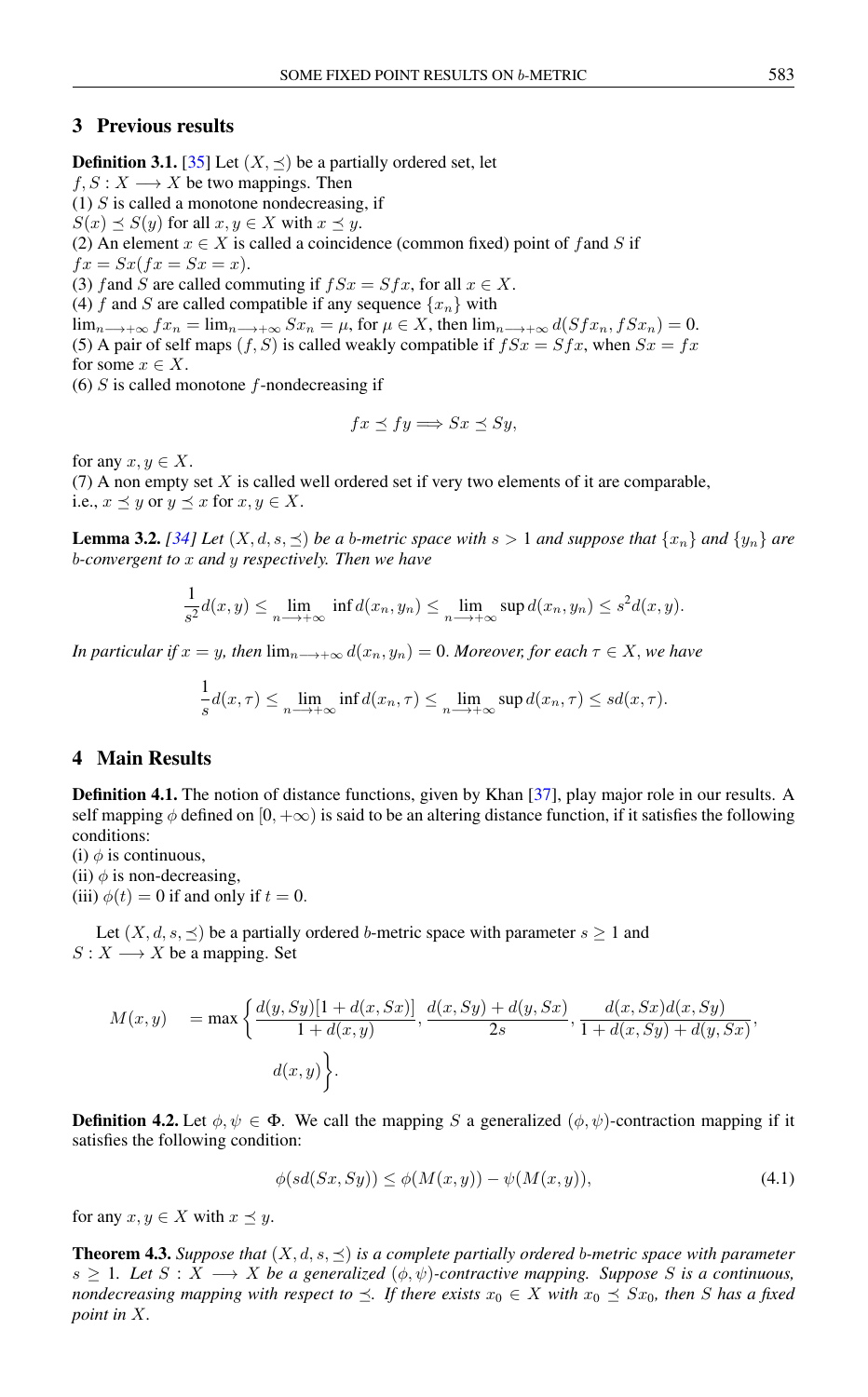## 3 Previous results

**Definition 3.1.** [\[35\]](#page-9-20) Let  $(X, \preceq)$  be a partially ordered set, let

 $f, S: X \longrightarrow X$  be two mappings. Then

 $(1)$  S is called a monotone nondecreasing, if

 $S(x) \preceq S(y)$  for all  $x, y \in X$  with  $x \preceq y$ .

(2) An element  $x \in X$  is called a coincidence (common fixed) point of f and S if

 $fx = Sx(fx = Sx = x).$ 

(3) f and S are called commuting if  $fSx = Sfx$ , for all  $x \in X$ .

(4) f and S are called compatible if any sequence  $\{x_n\}$  with

 $\lim_{n\to+\infty} fx_n = \lim_{n\to+\infty} Sx_n = \mu$ , for  $\mu \in X$ , then  $\lim_{n\to+\infty} d(Sfx_n, fSx_n) = 0$ . (5) A pair of self maps  $(f, S)$  is called weakly compatible if  $fSx = Sfx$ , when  $Sx = fx$ for some  $x \in X$ .

 $(6)$  S is called monotone f-nondecreasing if

$$
fx \preceq fy \Longrightarrow Sx \preceq Sy,
$$

for any  $x, y \in X$ .

(7) A non empty set  $X$  is called well ordered set if very two elements of it are comparable, i.e.,  $x \prec y$  or  $y \prec x$  for  $x, y \in X$ .

**Lemma 3.2.** [\[34\]](#page-9-19) Let  $(X, d, s, \preceq)$  be a b-metric space with  $s > 1$  and suppose that  $\{x_n\}$  and  $\{y_n\}$  are b*-convergent to* x *and* y *respectively. Then we have*

$$
\frac{1}{s^2}d(x,y) \le \lim_{n \to +\infty} \inf d(x_n, y_n) \le \lim_{n \to +\infty} \sup d(x_n, y_n) \le s^2 d(x,y).
$$

*In particular if*  $x = y$ *, then*  $\lim_{n \to +\infty} d(x_n, y_n) = 0$ *. Moreover, for each*  $\tau \in X$ *, we have* 

$$
\frac{1}{s}d(x,\tau) \le \lim_{n \longrightarrow +\infty} \inf d(x_n,\tau) \le \lim_{n \longrightarrow +\infty} \sup d(x_n,\tau) \le sd(x,\tau).
$$

## 4 Main Results

**Definition 4.1.** The notion of distance functions, given by Khan [\[37\]](#page-9-22), play major role in our results. A self mapping  $\phi$  defined on  $[0, +\infty)$  is said to be an altering distance function, if it satisfies the following conditions:

(i)  $\phi$  is continuous,

(ii)  $\phi$  is non-decreasing,

(iii)  $\phi(t) = 0$  if and only if  $t = 0$ .

Let  $(X, d, s, \preceq)$  be a partially ordered b-metric space with parameter  $s \ge 1$  and  $S: X \longrightarrow X$  be a mapping. Set

$$
M(x,y) = \max \left\{ \frac{d(y, Sy)[1 + d(x, Sx)]}{1 + d(x,y)}, \frac{d(x, Sy) + d(y, Sx)}{2s}, \frac{d(x, Sx)d(x, Sy)}{1 + d(x, Sy) + d(y, Sx)}, \frac{d(x, Sx)d(x, Sy)}{1 + d(x, Sy) + d(y, Sx)} \right\}.
$$

**Definition 4.2.** Let  $\phi, \psi \in \Phi$ . We call the mapping S a generalized  $(\phi, \psi)$ -contraction mapping if it satisfies the following condition:

$$
\phi(sd(Sx, Sy)) \le \phi(M(x, y)) - \psi(M(x, y)),\tag{4.1}
$$

for any  $x, y \in X$  with  $x \preceq y$ .

<span id="page-1-0"></span>**Theorem 4.3.** *Suppose that*  $(X, d, s, \leq)$  *is a complete partially ordered b-metric space with parameter*  $s \geq 1$ *. Let*  $S : X \longrightarrow X$  *be a generalized*  $(\phi, \psi)$ -contractive mapping. Suppose S is a continuous, *nondecreasing mapping with respect to*  $\leq$ . If there exists  $x_0 \in X$  with  $x_0 \leq Sx_0$ , then S has a fixed *point in* X*.*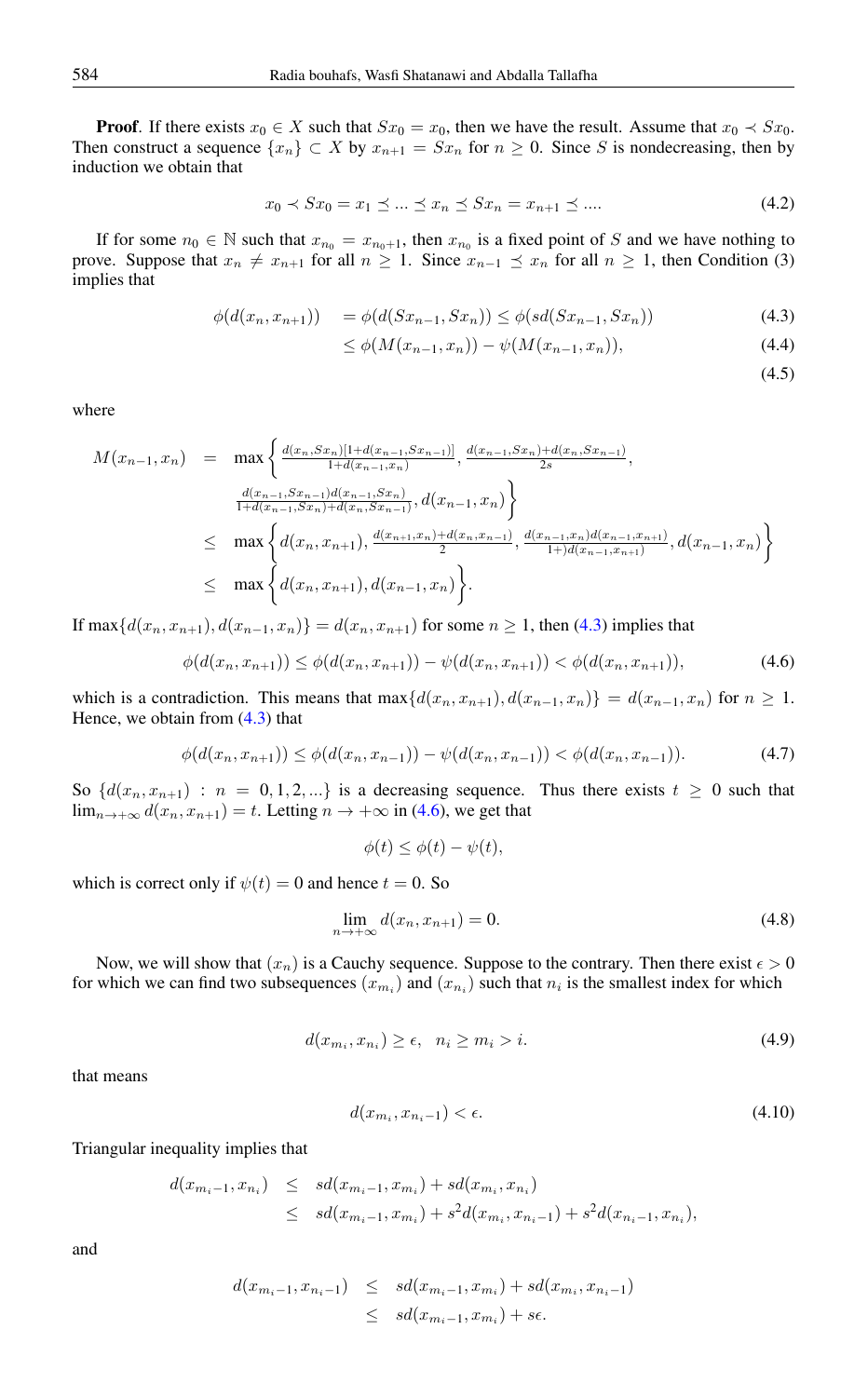**Proof.** If there exists  $x_0 \in X$  such that  $Sx_0 = x_0$ , then we have the result. Assume that  $x_0 \prec Sx_0$ . Then construct a sequence  $\{x_n\} \subset X$  by  $x_{n+1} = Sx_n$  for  $n \geq 0$ . Since S is nondecreasing, then by induction we obtain that

$$
x_0 \prec S x_0 = x_1 \preceq \dots \preceq x_n \preceq S x_n = x_{n+1} \preceq \dots \tag{4.2}
$$

If for some  $n_0 \in \mathbb{N}$  such that  $x_{n_0} = x_{n_0+1}$ , then  $x_{n_0}$  is a fixed point of S and we have nothing to prove. Suppose that  $x_n \neq x_{n+1}$  for all  $n \geq 1$ . Since  $x_{n-1} \preceq x_n$  for all  $n \geq 1$ , then Condition (3) implies that

$$
\phi(d(x_n, x_{n+1})) = \phi(d(Sx_{n-1}, Sx_n)) \le \phi(sd(Sx_{n-1}, Sx_n))
$$
\n(4.3)

$$
\leq \phi(M(x_{n-1}, x_n)) - \psi(M(x_{n-1}, x_n)), \tag{4.4}
$$

<span id="page-2-1"></span><span id="page-2-0"></span> $(4.5)$ 

where

$$
M(x_{n-1}, x_n) = \max \left\{ \frac{d(x_n, Sx_n)[1+d(x_{n-1}, Sx_{n-1})]}{1+d(x_{n-1}, x_n)}, \frac{d(x_{n-1}, Sx_n)+d(x_n, Sx_{n-1})}{2s}, \frac{d(x_{n-1}, Sx_{n-1})d(x_{n-1}, Sx_n)}{1+d(x_{n-1}, Sx_n)+d(x_n, Sx_{n-1})}, d(x_{n-1}, x_n) \right\}
$$
  
\n
$$
\leq \max \left\{ d(x_n, x_{n+1}), \frac{d(x_{n+1}, x_n)+d(x_n, x_{n-1})}{2}, \frac{d(x_{n-1}, x_n)d(x_{n-1}, x_{n+1})}{1+d(x_{n-1}, x_{n+1})}, d(x_{n-1}, x_n) \right\}
$$
  
\n
$$
\leq \max \left\{ d(x_n, x_{n+1}), d(x_{n-1}, x_n) \right\}.
$$

If max $\{d(x_n, x_{n+1}), d(x_{n-1}, x_n)\} = d(x_n, x_{n+1})$  for some  $n ≥ 1$ , then [\(4.3\)](#page-2-0) implies that

$$
\phi(d(x_n, x_{n+1})) \le \phi(d(x_n, x_{n+1})) - \psi(d(x_n, x_{n+1})) < \phi(d(x_n, x_{n+1})),\tag{4.6}
$$

which is a contradiction. This means that  $\max\{d(x_n, x_{n+1}), d(x_{n-1}, x_n)\} = d(x_{n-1}, x_n)$  for  $n \geq 1$ . Hence, we obtain from [\(4.3\)](#page-2-0) that

$$
\phi(d(x_n, x_{n+1})) \le \phi(d(x_n, x_{n-1})) - \psi(d(x_n, x_{n-1})) < \phi(d(x_n, x_{n-1})).\tag{4.7}
$$

So  $\{d(x_n, x_{n+1}) : n = 0, 1, 2, ...\}$  is a decreasing sequence. Thus there exists  $t \geq 0$  such that  $\lim_{n\to+\infty} d(x_n, x_{n+1}) = t$ . Letting  $n \to +\infty$  in [\(4.6\)](#page-2-1), we get that

$$
\phi(t) \le \phi(t) - \psi(t),
$$

which is correct only if  $\psi(t) = 0$  and hence  $t = 0$ . So

<span id="page-2-2"></span>
$$
\lim_{n \to +\infty} d(x_n, x_{n+1}) = 0.
$$
\n(4.8)

Now, we will show that  $(x_n)$  is a Cauchy sequence. Suppose to the contrary. Then there exist  $\epsilon > 0$ for which we can find two subsequences  $(x_{m_i})$  and  $(x_{n_i})$  such that  $n_i$  is the smallest index for which

<span id="page-2-4"></span>
$$
d(x_{m_i}, x_{n_i}) \ge \epsilon, \quad n_i \ge m_i > i. \tag{4.9}
$$

that means

<span id="page-2-3"></span>
$$
d(x_{m_i}, x_{n_i-1}) < \epsilon. \tag{4.10}
$$

Triangular inequality implies that

$$
d(x_{m_i-1}, x_{n_i}) \le sd(x_{m_i-1}, x_{m_i}) + sd(x_{m_i}, x_{n_i})
$$
  
 
$$
\le sd(x_{m_i-1}, x_{m_i}) + s^2 d(x_{m_i}, x_{n_i-1}) + s^2 d(x_{n_i-1}, x_{n_i}),
$$

and

$$
d(x_{m_i-1}, x_{n_i-1}) \leq sd(x_{m_i-1}, x_{m_i}) + sd(x_{m_i}, x_{n_i-1})
$$
  

$$
\leq sd(x_{m_i-1}, x_{m_i}) + s\epsilon.
$$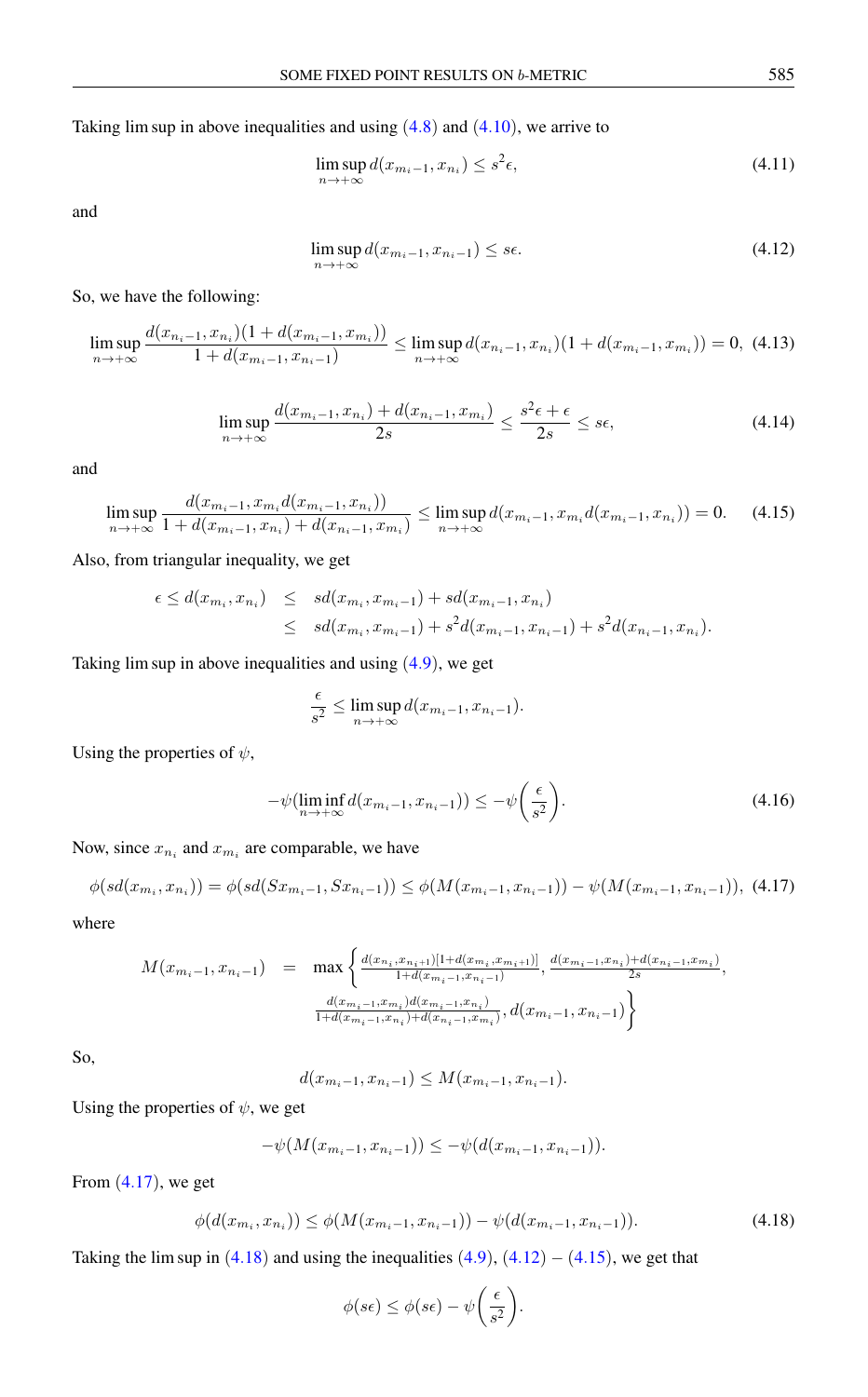Taking lim sup in above inequalities and using  $(4.8)$  $(4.8)$  $(4.8)$  and  $(4.10)$  $(4.10)$  $(4.10)$ , we arrive to

$$
\limsup_{n \to +\infty} d(x_{m_i-1}, x_{n_i}) \le s^2 \epsilon,
$$
\n(4.11)

and

<span id="page-3-2"></span>
$$
\limsup_{n \to +\infty} d(x_{m_i-1}, x_{n_i-1}) \le s\epsilon. \tag{4.12}
$$

So, we have the following:

$$
\limsup_{n \to +\infty} \frac{d(x_{n_i-1}, x_{n_i})(1 + d(x_{m_i-1}, x_{m_i}))}{1 + d(x_{m_i-1}, x_{n_i-1})} \le \limsup_{n \to +\infty} d(x_{n_i-1}, x_{n_i})(1 + d(x_{m_i-1}, x_{m_i})) = 0, \tag{4.13}
$$

$$
\limsup_{n \to +\infty} \frac{d(x_{m_i-1}, x_{n_i}) + d(x_{n_i-1}, x_{m_i})}{2s} \le \frac{s^2 \epsilon + \epsilon}{2s} \le s\epsilon,
$$
\n(4.14)

and

<span id="page-3-3"></span>
$$
\limsup_{n \to +\infty} \frac{d(x_{m_i-1}, x_{m_i} d(x_{m_i-1}, x_{n_i}))}{1 + d(x_{m_i-1}, x_{n_i}) + d(x_{n_i-1}, x_{m_i})} \le \limsup_{n \to +\infty} d(x_{m_i-1}, x_{m_i} d(x_{m_i-1}, x_{n_i})) = 0. \tag{4.15}
$$

Also, from triangular inequality, we get

$$
\epsilon \le d(x_{m_i}, x_{n_i}) \le sd(x_{m_i}, x_{m_i-1}) + sd(x_{m_i-1}, x_{n_i})
$$
  

$$
\le sd(x_{m_i}, x_{m_i-1}) + s^2 d(x_{m_i-1}, x_{n_i-1}) + s^2 d(x_{n_i-1}, x_{n_i}).
$$

Taking lim sup in above inequalities and using ([4](#page-2-4).9), we get

$$
\frac{\epsilon}{s^2} \le \limsup_{n \to +\infty} d(x_{m_i-1}, x_{n_i-1}).
$$

Using the properties of  $\psi$ ,

$$
-\psi(\liminf_{n\to+\infty} d(x_{m_i-1}, x_{n_i-1})) \le -\psi\left(\frac{\epsilon}{s^2}\right). \tag{4.16}
$$

Now, since  $x_{n_i}$  and  $x_{m_i}$  are comparable, we have

<span id="page-3-0"></span>
$$
\phi(sd(x_{m_i}, x_{n_i})) = \phi(sd(Sx_{m_i-1}, Sx_{n_i-1})) \le \phi(M(x_{m_i-1}, x_{n_i-1})) - \psi(M(x_{m_i-1}, x_{n_i-1})), \tag{4.17}
$$

where

$$
M(x_{m_i-1}, x_{n_i-1}) = \max\left\{\frac{d(x_{n_i}, x_{n_i+1})[1+d(x_{m_i}, x_{m_i+1})]}{1+d(x_{m_i-1}, x_{n_i-1})}, \frac{d(x_{m_i-1}, x_{n_i})+d(x_{n_i-1}, x_{m_i})}{2s}, \frac{d(x_{m_i-1}, x_{m_i})d(x_{m_i-1}, x_{n_i})}{1+d(x_{m_i-1}, x_{n_i})+d(x_{n_i-1}, x_{m_i})}, d(x_{m_i-1}, x_{n_i-1})\right\}
$$

So,

$$
d(x_{m_i-1}, x_{n_i-1}) \leq M(x_{m_i-1}, x_{n_i-1}).
$$

Using the properties of  $\psi$ , we get

$$
-\psi(M(x_{m_i-1}, x_{n_i-1})) \le -\psi(d(x_{m_i-1}, x_{n_i-1})).
$$

From  $(4.17)$  $(4.17)$  $(4.17)$ , we get

<span id="page-3-1"></span>
$$
\phi(d(x_{m_i}, x_{n_i})) \le \phi(M(x_{m_i-1}, x_{n_i-1})) - \psi(d(x_{m_i-1}, x_{n_i-1})). \tag{4.18}
$$

Taking the lim sup in  $(4.18)$  $(4.18)$  $(4.18)$  and using the inequalities  $(4.9)$  $(4.9)$  $(4.9)$ ,  $(4.12) - (4.15)$  $(4.12) - (4.15)$  $(4.12) - (4.15)$  $(4.12) - (4.15)$  $(4.12) - (4.15)$ , we get that

$$
\phi(s\epsilon) \leq \phi(s\epsilon) - \psi\bigg(\frac{\epsilon}{s^2}\bigg).
$$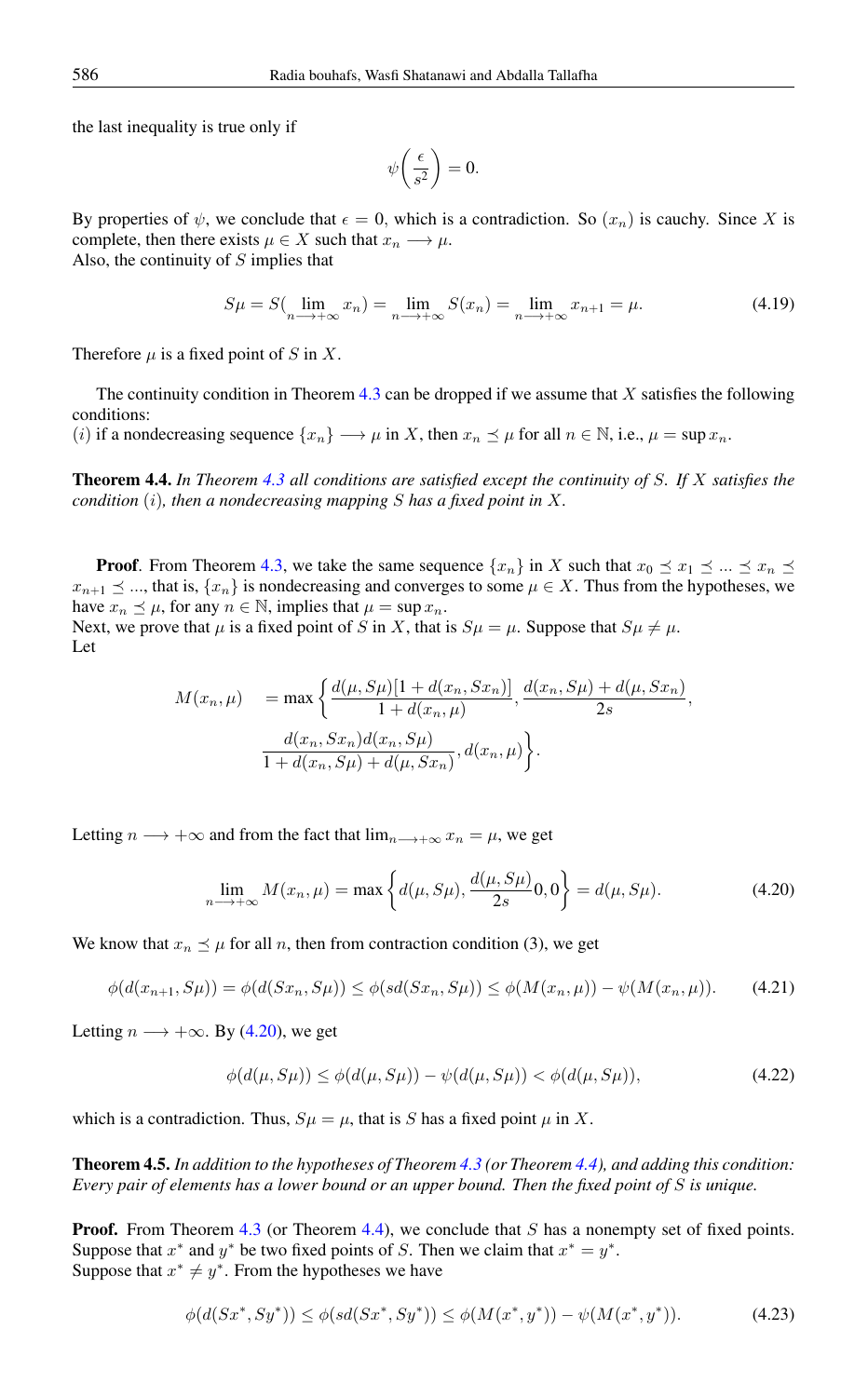the last inequality is true only if

$$
\psi\bigg(\frac{\epsilon}{s^2}\bigg) = 0.
$$

By properties of  $\psi$ , we conclude that  $\epsilon = 0$ , which is a contradiction. So  $(x_n)$  is cauchy. Since X is complete, then there exists  $\mu \in X$  such that  $x_n \longrightarrow \mu$ . Also, the continuity of S implies that

$$
S\mu = S\left(\lim_{n \to +\infty} x_n\right) = \lim_{n \to +\infty} S(x_n) = \lim_{n \to +\infty} x_{n+1} = \mu. \tag{4.19}
$$

Therefore  $\mu$  is a fixed point of S in X.

The continuity condition in Theorem [4.3](#page-1-0) can be dropped if we assume that  $X$  satisfies the following conditions:

(i) if a nondecreasing sequence  $\{x_n\} \longrightarrow \mu$  in X, then  $x_n \preceq \mu$  for all  $n \in \mathbb{N}$ , i.e.,  $\mu = \sup x_n$ .

<span id="page-4-1"></span>Theorem 4.4. *In Theorem [4.3](#page-1-0) all conditions are satisfied except the continuity of* S*. If* X *satisfies the condition* (i)*, then a nondecreasing mapping* S *has a fixed point in* X*.*

**Proof.** From Theorem [4.3,](#page-1-0) we take the same sequence  $\{x_n\}$  in X such that  $x_0 \le x_1 \le ... \le x_n \le$  $x_{n+1} \leq \ldots$ , that is,  $\{x_n\}$  is nondecreasing and converges to some  $\mu \in X$ . Thus from the hypotheses, we have  $x_n \leq \mu$ , for any  $n \in \mathbb{N}$ , implies that  $\mu = \sup x_n$ . Next, we prove that  $\mu$  is a fixed point of S in X, that is  $S\mu = \mu$ . Suppose that  $S\mu \neq \mu$ . Let

$$
M(x_n, \mu) = \max \left\{ \frac{d(\mu, S\mu)[1 + d(x_n, Sx_n)]}{1 + d(x_n, \mu)}, \frac{d(x_n, S\mu) + d(\mu, Sx_n)}{2s}, \frac{d(x_n, Sx_n)d(x_n, S\mu)}{1 + d(x_n, S\mu) + d(\mu, Sx_n)}, d(x_n, \mu) \right\}.
$$

Letting  $n \longrightarrow +\infty$  and from the fact that  $\lim_{n \longrightarrow +\infty} x_n = \mu$ , we get

<span id="page-4-0"></span>
$$
\lim_{n \to +\infty} M(x_n, \mu) = \max\left\{d(\mu, S\mu), \frac{d(\mu, S\mu)}{2s}0, 0\right\} = d(\mu, S\mu). \tag{4.20}
$$

We know that  $x_n \leq \mu$  for all n, then from contraction condition (3), we get

$$
\phi(d(x_{n+1}, S\mu)) = \phi(d(Sx_n, S\mu)) \le \phi(sd(Sx_n, S\mu)) \le \phi(M(x_n, \mu)) - \psi(M(x_n, \mu)).
$$
 (4.21)

Letting  $n \longrightarrow +\infty$ . By [\(4.20\)](#page-4-0), we get

$$
\phi(d(\mu, S\mu)) \le \phi(d(\mu, S\mu)) - \psi(d(\mu, S\mu)) < \phi(d(\mu, S\mu)),\tag{4.22}
$$

which is a contradiction. Thus,  $S\mu = \mu$ , that is S has a fixed point  $\mu$  in X.

Theorem 4.5. *In addition to the hypotheses of Theorem [4.3](#page-1-0) (or Theorem [4.4\)](#page-4-1), and adding this condition: Every pair of elements has a lower bound or an upper bound. Then the fixed point of* S *is unique.*

**Proof.** From Theorem [4.3](#page-1-0) (or Theorem [4.4\)](#page-4-1), we conclude that S has a nonempty set of fixed points. Suppose that  $x^*$  and  $y^*$  be two fixed points of S. Then we claim that  $x^* = y^*$ . Suppose that  $x^* \neq y^*$ . From the hypotheses we have

<span id="page-4-2"></span>
$$
\phi(d(Sx^*, Sy^*)) \le \phi(sd(Sx^*, Sy^*)) \le \phi(M(x^*, y^*)) - \psi(M(x^*, y^*)). \tag{4.23}
$$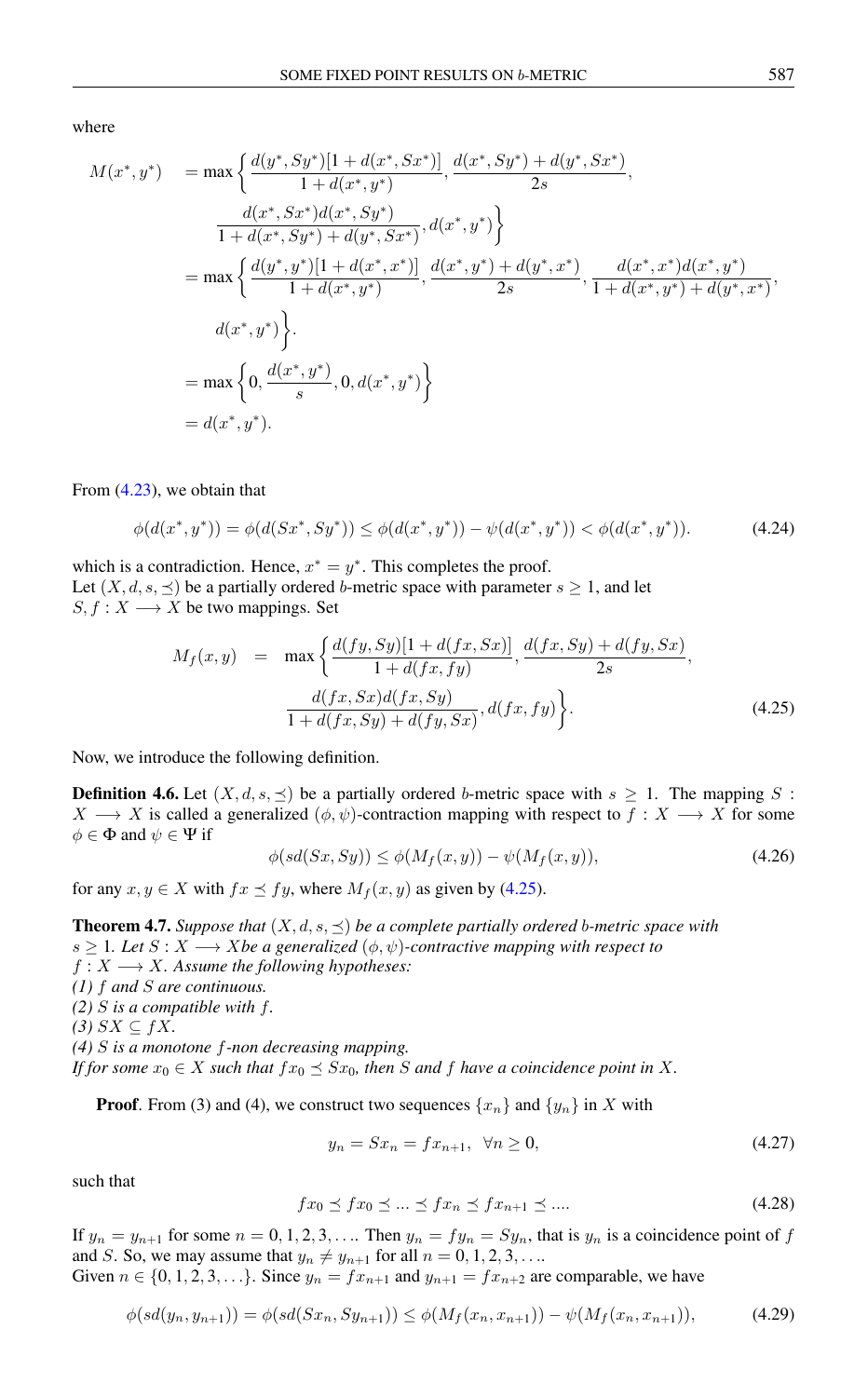where

$$
M(x^*, y^*) = \max \left\{ \frac{d(y^*, Sy^*)[1 + d(x^*, Sx^*)]}{1 + d(x^*, y^*)}, \frac{d(x^*, Sy^*) + d(y^*, Sx^*)}{2s}, \frac{d(x^*, Sx^*)d(x^*, Sy^*)}{1 + d(x^*, Sy^*) + d(y^*, Sx^*)}, d(x^*, y^*) \right\}
$$
  
\n
$$
= \max \left\{ \frac{d(y^*, y^*)[1 + d(x^*, x^*)]}{1 + d(x^*, y^*)}, \frac{d(x^*, y^*) + d(y^*, x^*)}{2s}, \frac{d(x^*, x^*)d(x^*, y^*)}{1 + d(x^*, y^*) + d(y^*, x^*)}, \frac{d(x^*, y^*)}{1 + d(x^*, y^*) + d(y^*, x^*)}, \frac{d(x^*, y^*)}{s} \right\}
$$
  
\n
$$
= \max \left\{ 0, \frac{d(x^*, y^*)}{s}, 0, d(x^*, y^*) \right\}
$$
  
\n
$$
= d(x^*, y^*).
$$

From [\(4.23\)](#page-4-2), we obtain that

$$
\phi(d(x^*,y^*)) = \phi(d(Sx^*, Sy^*)) \le \phi(d(x^*,y^*)) - \psi(d(x^*,y^*)) < \phi(d(x^*,y^*)).
$$
\n(4.24)

which is a contradiction. Hence,  $x^* = y^*$ . This completes the proof. Let  $(X, d, s, \preceq)$  be a partially ordered b-metric space with parameter  $s \geq 1$ , and let  $S, f: X \longrightarrow X$  be two mappings. Set

<span id="page-5-0"></span>
$$
M_f(x,y) = \max \left\{ \frac{d(fy, Sy)[1 + d(fx, Sx)]}{1 + d(fx, fy)}, \frac{d(fx, Sy) + d(fy, Sx)}{2s}, \frac{d(fx, Sx)d(fx, Sy)}{1 + d(fx, Sy) + d(fy, Sx)}, d(fx, fy) \right\}.
$$
\n(4.25)

Now, we introduce the following definition.

**Definition 4.6.** Let  $(X, d, s, \leq)$  be a partially ordered b-metric space with  $s \geq 1$ . The mapping S:  $X \longrightarrow X$  is called a generalized  $(\phi, \psi)$ -contraction mapping with respect to  $f : X \longrightarrow X$  for some  $\phi \in \Phi$  and  $\psi \in \Psi$  if

<span id="page-5-3"></span>
$$
\phi(sd(Sx, Sy)) \le \phi(M_f(x, y)) - \psi(M_f(x, y)),\tag{4.26}
$$

for any  $x, y \in X$  with  $fx \preceq fy$ , where  $M_f(x, y)$  as given by [\(4.25\)](#page-5-0).

<span id="page-5-2"></span>**Theorem 4.7.** *Suppose that*  $(X, d, s, \leq)$  *be a complete partially ordered b-metric space with*  $s \geq 1$ *. Let*  $S : X \longrightarrow X$ *be a generalized*  $(\phi, \psi)$ -contractive mapping with respect to  $f: X \longrightarrow X$ *. Assume the following hypotheses: (1)* f *and* S *are continuous. (2)* S *is a compatible with* f*. (3)*  $SX ⊆ fX$ *. (4)* S *is a monotone* f*-non decreasing mapping. If for some*  $x_0 \in X$  *such that*  $fx_0 \leq Sx_0$ *, then S and f have a coincidence point in X.* 

**Proof.** From (3) and (4), we construct two sequences  $\{x_n\}$  and  $\{y_n\}$  in X with

<span id="page-5-1"></span>
$$
y_n = Sx_n = fx_{n+1}, \ \forall n \ge 0,
$$
\n(4.27)

such that

$$
fx_0 \preceq fx_0 \preceq \ldots \preceq fx_n \preceq fx_{n+1} \preceq \ldots \tag{4.28}
$$

If  $y_n = y_{n+1}$  for some  $n = 0, 1, 2, 3, \ldots$  Then  $y_n = fy_n = Sy_n$ , that is  $y_n$  is a coincidence point of f and S. So, we may assume that  $y_n \neq y_{n+1}$  for all  $n = 0, 1, 2, 3, \ldots$ Given  $n \in \{0, 1, 2, 3, \ldots\}$ . Since  $y_n = fx_{n+1}$  and  $y_{n+1} = fx_{n+2}$  are comparable, we have

$$
\phi(sd(y_n, y_{n+1})) = \phi(sd(Sx_n, Sy_{n+1})) \le \phi(M_f(x_n, x_{n+1})) - \psi(M_f(x_n, x_{n+1})),\tag{4.29}
$$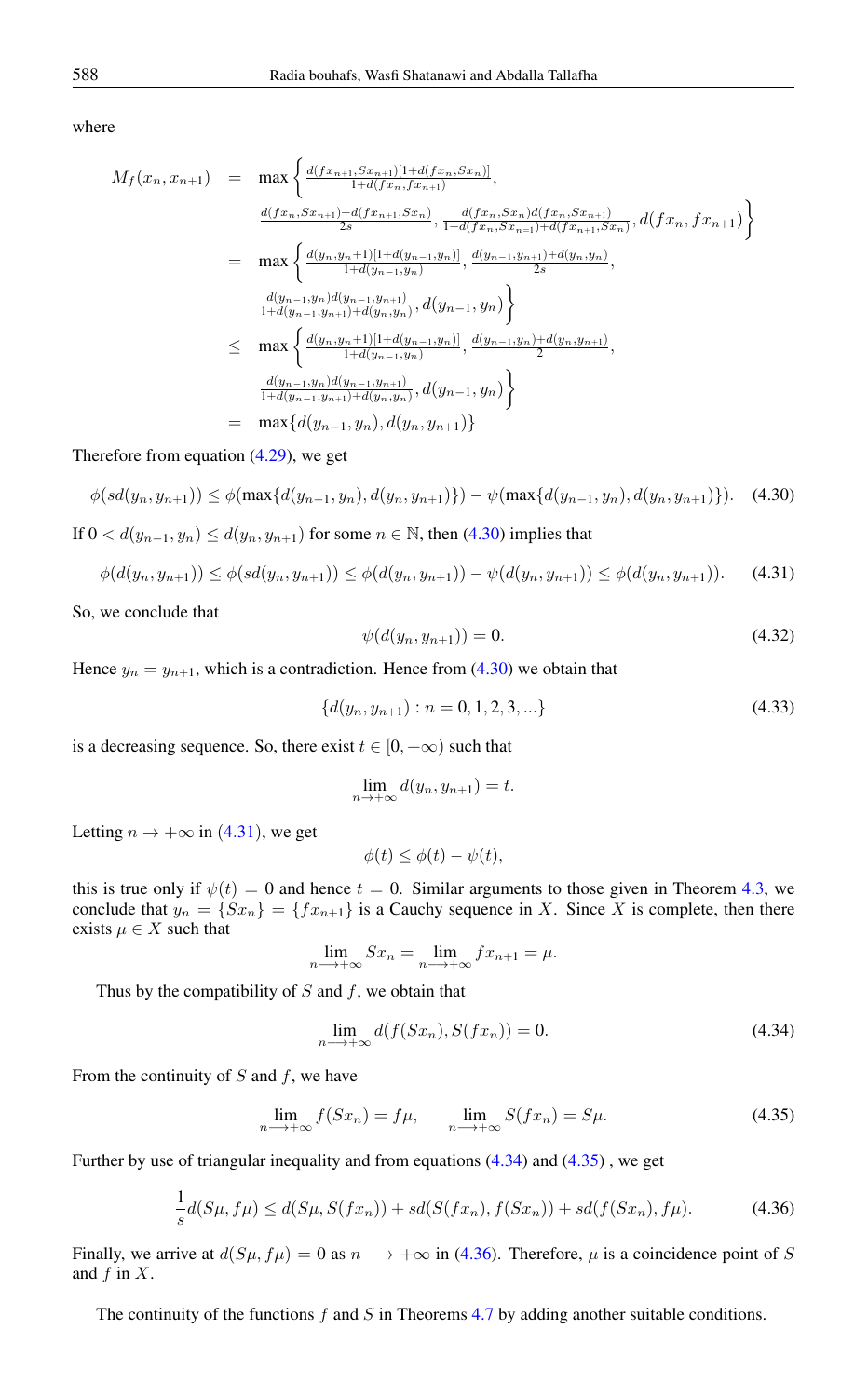where

$$
M_f(x_n, x_{n+1}) = \max \left\{ \frac{d(fx_{n+1}, Sx_{n+1})[1+d(fx_n, Sx_n)]}{1+d(fx_n, fx_{n+1})}, \frac{d(fx_n, Sx_n)d(fx_n, Sx_{n+1})}{1+d(fx_n, Sx_{n-1})+d(fx_n, Sx_{n+1})}, d(fx_n, fx_{n+1}) \right\}
$$
  
\n
$$
= \max \left\{ \frac{d(y_n, y_{n+1})[1+d(y_{n-1}, y_n)]}{1+d(y_{n-1}, y_n)}, \frac{d(y_{n-1}, y_{n+1})+d(y_n, y_n)}{2s}, \frac{d(y_{n-1}, y_n)d(y_{n-1}, y_{n+1})}{1+d(y_{n-1}, y_n)+d(y_n, y_n)}, d(y_{n-1}, y_n) \right\}
$$
  
\n
$$
\leq \max \left\{ \frac{d(y_n, y_{n+1})[1+d(y_{n-1}, y_n)]}{1+d(y_{n-1}, y_n)}, \frac{d(y_{n-1}, y_n)]}{2}, \frac{d(y_{n-1}, y_n)+d(y_n, y_{n+1})}{2}, \frac{d(y_{n-1}, y_n)d(y_{n-1}, y_n)}{1+d(y_{n-1}, y_n)+d(y_n, y_n)} \right\}
$$
  
\n
$$
= \max \{ d(y_{n-1}, y_n)d(y_{n-1}, y_{n+1})}, d(y_{n-1}, y_n) \}
$$

Therefore from equation [\(4.29\)](#page-5-1), we get

$$
\phi(sl(y_n, y_{n+1})) \le \phi(\max\{d(y_{n-1}, y_n), d(y_n, y_{n+1})\}) - \psi(\max\{d(y_{n-1}, y_n), d(y_n, y_{n+1})\}).
$$
 (4.30)

If  $0 < d(y_{n-1}, y_n) \le d(y_n, y_{n+1})$  for some  $n \in \mathbb{N}$ , then [\(4.30\)](#page-6-0) implies that

$$
\phi(d(y_n, y_{n+1})) \le \phi(sd(y_n, y_{n+1})) \le \phi(d(y_n, y_{n+1})) - \psi(d(y_n, y_{n+1})) \le \phi(d(y_n, y_{n+1})). \tag{4.31}
$$

So, we conclude that

<span id="page-6-1"></span><span id="page-6-0"></span>
$$
\psi(d(y_n, y_{n+1})) = 0. \tag{4.32}
$$

Hence  $y_n = y_{n+1}$ , which is a contradiction. Hence from [\(4.30\)](#page-6-0) we obtain that

$$
\{d(y_n, y_{n+1}) : n = 0, 1, 2, 3, \ldots\}
$$
\n(4.33)

is a decreasing sequence. So, there exist  $t \in [0, +\infty)$  such that

$$
\lim_{n \to +\infty} d(y_n, y_{n+1}) = t.
$$

Letting  $n \to +\infty$  in (4.[31](#page-6-1)), we get

$$
\phi(t) \le \phi(t) - \psi(t),
$$

this is true only if  $\psi(t) = 0$  and hence  $t = 0$ . Similar arguments to those given in Theorem [4.3,](#page-1-0) we conclude that  $y_n = \{fx_{n+1}\}\$ is a Cauchy sequence in X. Since X is complete, then there exists  $\mu \in X$  such that

$$
\lim_{n \to +\infty} Sx_n = \lim_{n \to +\infty} fx_{n+1} = \mu.
$$

Thus by the compatibility of  $S$  and  $f$ , we obtain that

<span id="page-6-4"></span><span id="page-6-3"></span><span id="page-6-2"></span>
$$
\lim_{n \to +\infty} d(f(Sx_n), S(fx_n)) = 0. \tag{4.34}
$$

From the continuity of  $S$  and  $f$ , we have

$$
\lim_{n \to +\infty} f(Sx_n) = f\mu, \qquad \lim_{n \to +\infty} S(fx_n) = S\mu. \tag{4.35}
$$

Further by use of triangular inequality and from equations [\(4.34\)](#page-6-2) and [\(4.35\)](#page-6-3) , we get

$$
\frac{1}{s}d(S\mu, f\mu) \le d(S\mu, S(fx_n)) + sd(S(fx_n), f(Sx_n)) + sd(f(Sx_n), f\mu). \tag{4.36}
$$

Finally, we arrive at  $d(S\mu, f\mu) = 0$  as  $n \rightarrow +\infty$  in [\(4.36\)](#page-6-4). Therefore,  $\mu$  is a coincidence point of S and  $f$  in  $X$ .

The continuity of the functions  $f$  and  $S$  in Theorems [4.7](#page-5-2) by adding another suitable conditions.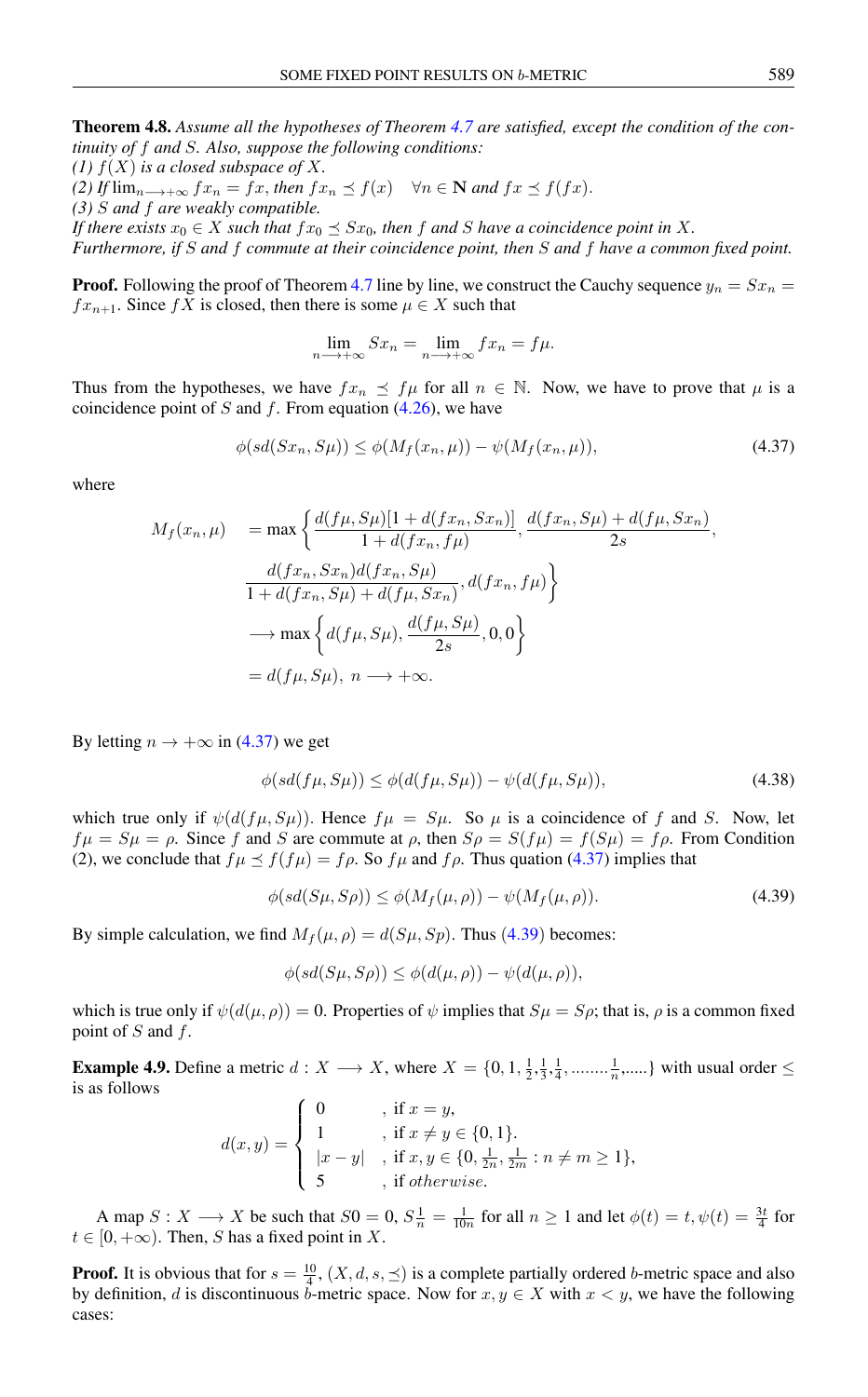Theorem 4.8. *Assume all the hypotheses of Theorem [4.7](#page-5-2) are satisfied, except the condition of the continuity of* f *and* S*. Also, suppose the following conditions:*

*(1)*  $f(X)$  *is a closed subspace of* X.

*(2) If*  $\lim_{n \to +\infty} f x_n = f x$ , *then*  $f x_n \preceq f(x) \quad \forall n \in \mathbb{N}$  *and*  $f x \preceq f(f x)$ .

*(3)* S *and* f *are weakly compatible.*

*If there exists*  $x_0 \in X$  *such that*  $fx_0 \preceq Sx_0$ *, then* f *and* S *have a coincidence point in* X.

*Furthermore, if* S *and* f *commute at their coincidence point, then* S *and* f *have a common fixed point.*

**Proof.** Following the proof of Theorem [4.7](#page-5-2) line by line, we construct the Cauchy sequence  $y_n = Sx_n$  $fx_{n+1}$ . Since fX is closed, then there is some  $\mu \in X$  such that

$$
\lim_{n \to +\infty} Sx_n = \lim_{n \to +\infty} fx_n = f\mu.
$$

Thus from the hypotheses, we have  $fx_n \preceq f\mu$  for all  $n \in \mathbb{N}$ . Now, we have to prove that  $\mu$  is a coincidence point of S and f. From equation  $(4.26)$ , we have

<span id="page-7-0"></span>
$$
\phi(sl(Sx_n, S\mu)) \le \phi(M_f(x_n, \mu)) - \psi(M_f(x_n, \mu)),\tag{4.37}
$$

where

$$
M_f(x_n, \mu) = \max \left\{ \frac{d(f\mu, S\mu)[1 + d(fx_n, Sx_n)]}{1 + d(fx_n, f\mu)}, \frac{d(fx_n, S\mu) + d(f\mu, Sx_n)}{2s}, \frac{d(fx_n, Sx_n)d(fx_n, S\mu)}{1 + d(fx_n, S\mu) + d(f\mu, Sx_n)}, d(fx_n, f\mu) \right\}
$$
  

$$
\longrightarrow \max \left\{ d(f\mu, S\mu), \frac{d(f\mu, S\mu)}{2s}, 0, 0 \right\}
$$
  
=  $d(f\mu, S\mu), n \longrightarrow +\infty.$ 

By letting  $n \to +\infty$  in [\(4.37\)](#page-7-0) we get

$$
\phi(sd(f\mu, S\mu)) \le \phi(d(f\mu, S\mu)) - \psi(d(f\mu, S\mu)),\tag{4.38}
$$

which true only if  $\psi(d(f\mu, S\mu))$ . Hence  $f\mu = S\mu$ . So  $\mu$  is a coincidence of f and S. Now, let  $f\mu = S\mu = \rho$ . Since f and S are commute at  $\rho$ , then  $S\rho = S(f\mu) = f(S\mu) = f\rho$ . From Condition (2), we conclude that  $f\mu \le f(f\mu) = f\rho$ . So  $f\mu$  and  $f\rho$ . Thus quation [\(4.37\)](#page-7-0) implies that

<span id="page-7-1"></span>
$$
\phi(sl(S\mu, S\rho)) \le \phi(M_f(\mu, \rho)) - \psi(M_f(\mu, \rho)).\tag{4.39}
$$

By simple calculation, we find  $M_f(\mu, \rho) = d(S\mu, Sp)$ . Thus (4.[39](#page-7-1)) becomes:

$$
\phi(sd(S\mu, S\rho)) \le \phi(d(\mu, \rho)) - \psi(d(\mu, \rho)),
$$

which is true only if  $\psi(d(\mu, \rho)) = 0$ . Properties of  $\psi$  implies that  $S\mu = S\rho$ ; that is,  $\rho$  is a common fixed point of  $S$  and  $f$ .

**Example 4.9.** Define a metric  $d: X \longrightarrow X$ , where  $X = \{0, 1, \frac{1}{2}, \frac{1}{3}, \frac{1}{4}, \dots, \frac{1}{n}, \dots\}$  with usual order  $\leq$ is as follows

$$
d(x,y) = \begin{cases} 0 & , \text{ if } x = y, \\ 1 & , \text{ if } x \neq y \in \{0,1\}. \\ |x - y| & , \text{ if } x, y \in \{0, \frac{1}{2n}, \frac{1}{2m} : n \neq m \geq 1\}, \\ 5 & , \text{ if } otherwise. \end{cases}
$$

A map  $S: X \longrightarrow X$  be such that  $S0 = 0$ ,  $S\frac{1}{n} = \frac{1}{10n}$  for all  $n \ge 1$  and let  $\phi(t) = t$ ,  $\psi(t) = \frac{3t}{4}$  for  $t \in [0, +\infty)$ . Then, S has a fixed point in X.

**Proof.** It is obvious that for  $s = \frac{10}{4}$ ,  $(X, d, s, \leq)$  is a complete partially ordered b-metric space and also by definition, d is discontinuous b-metric space. Now for  $x, y \in X$  with  $x < y$ , we have the following cases: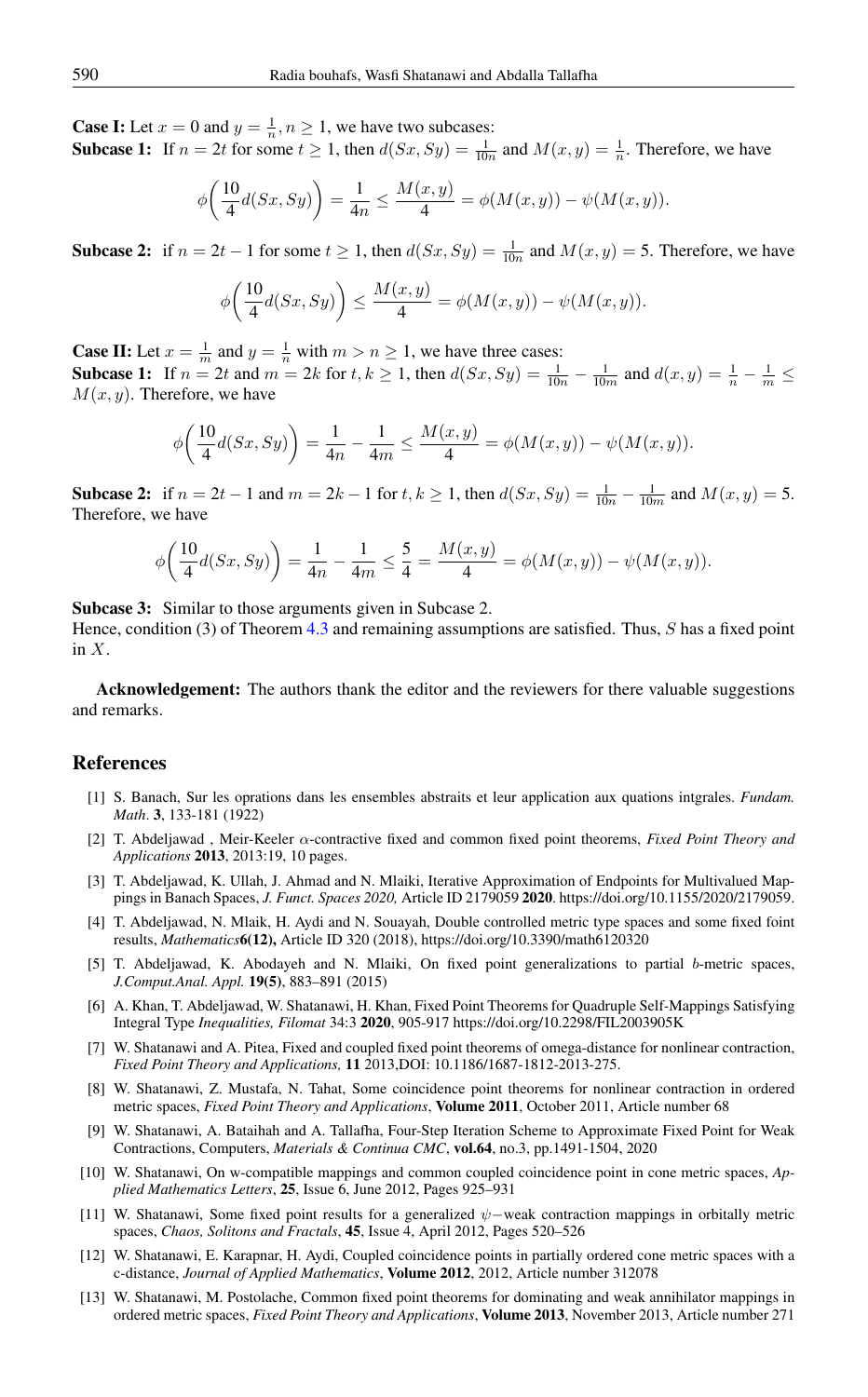**Case I:** Let  $x = 0$  and  $y = \frac{1}{n}$ ,  $n \ge 1$ , we have two subcases:

**Subcase 1:** If  $n = 2t$  for some  $t \ge 1$ , then  $d(Sx, Sy) = \frac{1}{10n}$  and  $M(x, y) = \frac{1}{n}$ . Therefore, we have

$$
\phi\bigg(\frac{10}{4}d(Sx, Sy)\bigg) = \frac{1}{4n} \le \frac{M(x, y)}{4} = \phi(M(x, y)) - \psi(M(x, y)).
$$

**Subcase 2:** if  $n = 2t - 1$  for some  $t \ge 1$ , then  $d(Sx, Sy) = \frac{1}{10n}$  and  $M(x, y) = 5$ . Therefore, we have

$$
\phi\bigg(\frac{10}{4}d(Sx, Sy)\bigg) \le \frac{M(x,y)}{4} = \phi(M(x,y)) - \psi(M(x,y)).
$$

**Case II:** Let  $x = \frac{1}{m}$  and  $y = \frac{1}{n}$  with  $m > n \ge 1$ , we have three cases: **Subcase 1:** If  $n = 2t$  and  $m = 2k$  for  $t, k \ge 1$ , then  $d(Sx, Sy) = \frac{1}{10n} - \frac{1}{10m}$  and  $d(x, y) = \frac{1}{n} - \frac{1}{m} \le$  $M(x, y)$ . Therefore, we have

$$
\phi\bigg(\frac{10}{4}d(Sx, Sy)\bigg) = \frac{1}{4n} - \frac{1}{4m} \le \frac{M(x, y)}{4} = \phi(M(x, y)) - \psi(M(x, y)).
$$

Subcase 2: if  $n = 2t - 1$  and  $m = 2k - 1$  for  $t, k \ge 1$ , then  $d(Sx, Sy) = \frac{1}{10n} - \frac{1}{10m}$  and  $M(x, y) = 5$ . Therefore, we have

$$
\phi\bigg(\frac{10}{4}d(Sx, Sy)\bigg) = \frac{1}{4n} - \frac{1}{4m} \le \frac{5}{4} = \frac{M(x,y)}{4} = \phi(M(x,y)) - \psi(M(x,y)).
$$

Subcase 3: Similar to those arguments given in Subcase 2.

Hence, condition (3) of Theorem [4.3](#page-1-0) and remaining assumptions are satisfied. Thus, S has a fixed point in  $X$ .

Acknowledgement: The authors thank the editor and the reviewers for there valuable suggestions and remarks.

#### <span id="page-8-0"></span>References

- <span id="page-8-1"></span>[1] S. Banach, Sur les oprations dans les ensembles abstraits et leur application aux quations intgrales. *Fundam. Math*. 3, 133-181 (1922)
- <span id="page-8-2"></span>[2] T. Abdeljawad , Meir-Keeler α-contractive fixed and common fixed point theorems, *Fixed Point Theory and Applications* 2013, 2013:19, 10 pages.
- <span id="page-8-3"></span>[3] T. Abdeljawad, K. Ullah, J. Ahmad and N. Mlaiki, Iterative Approximation of Endpoints for Multivalued Mappings in Banach Spaces, *J. Funct. Spaces 2020,* Article ID 2179059 2020. https://doi.org/10.1155/2020/2179059.
- <span id="page-8-4"></span>[4] T. Abdeljawad, N. Mlaik, H. Aydi and N. Souayah, Double controlled metric type spaces and some fixed foint results, *Mathematics*6(12), Article ID 320 (2018), https://doi.org/10.3390/math6120320
- <span id="page-8-5"></span>[5] T. Abdeljawad, K. Abodayeh and N. Mlaiki, On fixed point generalizations to partial b-metric spaces, *J.Comput.Anal. Appl.* 19(5), 883–891 (2015)
- <span id="page-8-6"></span>[6] A. Khan, T. Abdeljawad, W. Shatanawi, H. Khan, Fixed Point Theorems for Quadruple Self-Mappings Satisfying Integral Type *Inequalities, Filomat* 34:3 2020, 905-917 https://doi.org/10.2298/FIL2003905K
- <span id="page-8-7"></span>[7] W. Shatanawi and A. Pitea, Fixed and coupled fixed point theorems of omega-distance for nonlinear contraction, *Fixed Point Theory and Applications,* 11 2013,DOI: 10.1186/1687-1812-2013-275.
- <span id="page-8-8"></span>[8] W. Shatanawi, Z. Mustafa, N. Tahat, Some coincidence point theorems for nonlinear contraction in ordered metric spaces, *Fixed Point Theory and Applications*, Volume 2011, October 2011, Article number 68
- <span id="page-8-9"></span>[9] W. Shatanawi, A. Bataihah and A. Tallafha, Four-Step Iteration Scheme to Approximate Fixed Point for Weak Contractions, Computers, *Materials & Continua CMC*, vol.64, no.3, pp.1491-1504, 2020
- <span id="page-8-10"></span>[10] W. Shatanawi, On w-compatible mappings and common coupled coincidence point in cone metric spaces, *Applied Mathematics Letters*, 25, Issue 6, June 2012, Pages 925–931
- <span id="page-8-11"></span>[11] W. Shatanawi, Some fixed point results for a generalized ψ−weak contraction mappings in orbitally metric spaces, *Chaos, Solitons and Fractals*, 45, Issue 4, April 2012, Pages 520–526
- <span id="page-8-12"></span>[12] W. Shatanawi, E. Karapnar, H. Aydi, Coupled coincidence points in partially ordered cone metric spaces with a c-distance, *Journal of Applied Mathematics*, Volume 2012, 2012, Article number 312078
- <span id="page-8-13"></span>[13] W. Shatanawi, M. Postolache, Common fixed point theorems for dominating and weak annihilator mappings in ordered metric spaces, *Fixed Point Theory and Applications*, Volume 2013, November 2013, Article number 271